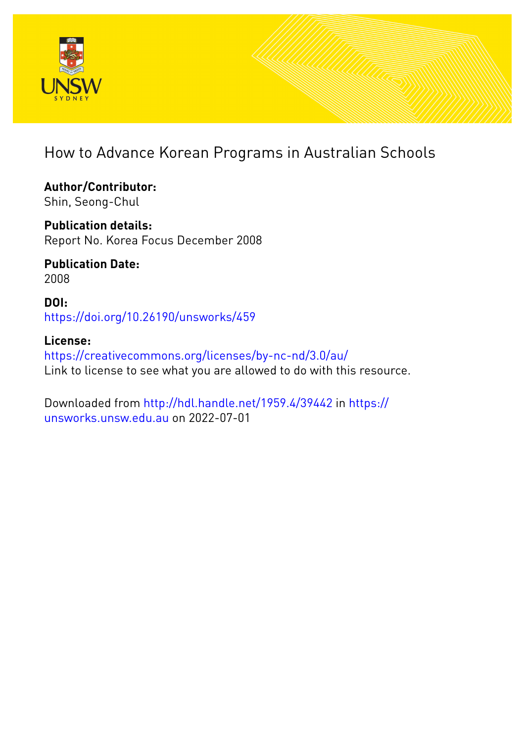

# How to Advance Korean Programs in Australian Schools

**Author/Contributor:** Shin, Seong-Chul

**Publication details:** Report No. Korea Focus December 2008

**Publication Date:** 2008

**DOI:** [https://doi.org/10.26190/unsworks/459](http://dx.doi.org/https://doi.org/10.26190/unsworks/459)

**License:** <https://creativecommons.org/licenses/by-nc-nd/3.0/au/> Link to license to see what you are allowed to do with this resource.

Downloaded from <http://hdl.handle.net/1959.4/39442> in [https://](https://unsworks.unsw.edu.au) [unsworks.unsw.edu.au](https://unsworks.unsw.edu.au) on 2022-07-01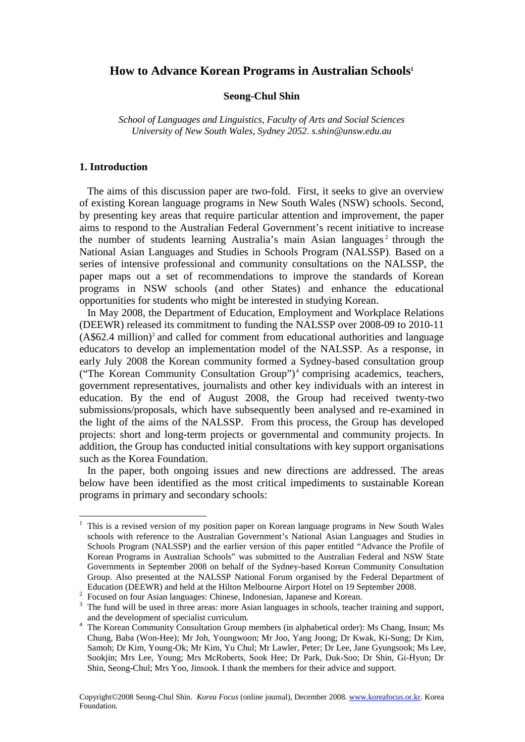## **How to Advance Korean Programs in Australian Schools 1**

## **Seong-Chul Shin**

*School of Languages and Linguistics, Faculty of Arts and Social Sciences University of New South Wales, Sydney 2052. s.shin@unsw.edu.au* 

## **1. Introduction**

 The aims of this discussion paper are two-fold. First, it seeks to give an overview of existing Korean language programs in New South Wales (NSW) schools. Second, by presenting key areas that require particular attention and improvement, the paper aims to respond to the Australian Federal Government's recent initiative to increase the number of students learning Australia's main Asian languages<sup>2</sup> through the National Asian Languages and Studies in Schools Program (NALSSP). Based on a series of intensive professional and community consultations on the NALSSP, the paper maps out a set of recommendations to improve the standards of Korean programs in NSW schools (and other States) and enhance the educational opportunities for students who might be interested in studying Korean.

 In May 2008, the Department of Education, Employment and Workplace Relations (DEEWR) released its commitment to funding the NALSSP over 2008-09 to 2010-11  $(A$62.4 million)<sup>3</sup>$  and called for comment from educational authorities and language educators to develop an implementation model of the NALSSP. As a response, in early July 2008 the Korean community formed a Sydney-based consultation group ("The Korean Community Consultation Group")<sup>4</sup> comprising academics, teachers, government representatives, journalists and other key individuals with an interest in education. By the end of August 2008, the Group had received twenty-two submissions/proposals, which have subsequently been analysed and re-examined in the light of the aims of the NALSSP. From this process, the Group has developed projects: short and long-term projects or governmental and community projects. In addition, the Group has conducted initial consultations with key support organisations such as the Korea Foundation.

 In the paper, both ongoing issues and new directions are addressed. The areas below have been identified as the most critical impediments to sustainable Korean programs in primary and secondary schools:

<sup>1</sup> This is a revised version of my position paper on Korean language programs in New South Wales schools with reference to the Australian Government's National Asian Languages and Studies in Schools Program (NALSSP) and the earlier version of this paper entitled "Advance the Profile of Korean Programs in Australian Schools" was submitted to the Australian Federal and NSW State Governments in September 2008 on behalf of the Sydney-based Korean Community Consultation Group. Also presented at the NALSSP National Forum organised by the Federal Department of Education (DEEWR) and held at the Hilton Melbourne Airport Hotel on 19 September 2008.

<sup>&</sup>lt;sup>2</sup> Focused on four Asian languages: Chinese, Indonesian, Japanese and Korean.

<sup>&</sup>lt;sup>3</sup> The fund will be used in three areas: more Asian languages in schools, teacher training and support, and the development of specialist curriculum.

<sup>&</sup>lt;sup>4</sup> The Korean Community Consultation Group members (in alphabetical order): Ms Chang, Insun; Ms Chung, Baba (Won-Hee); Mr Joh, Youngwoon; Mr Joo, Yang Joong; Dr Kwak, Ki-Sung; Dr Kim, Samoh; Dr Kim, Young-Ok; Mr Kim, Yu Chul; Mr Lawler, Peter; Dr Lee, Jane Gyungsook; Ms Lee, Sookjin; Mrs Lee, Young; Mrs McRoberts, Sook Hee; Dr Park, Duk-Soo; Dr Shin, Gi-Hyun; Dr Shin, Seong-Chul; Mrs Yoo, Jinsook. I thank the members for their advice and support.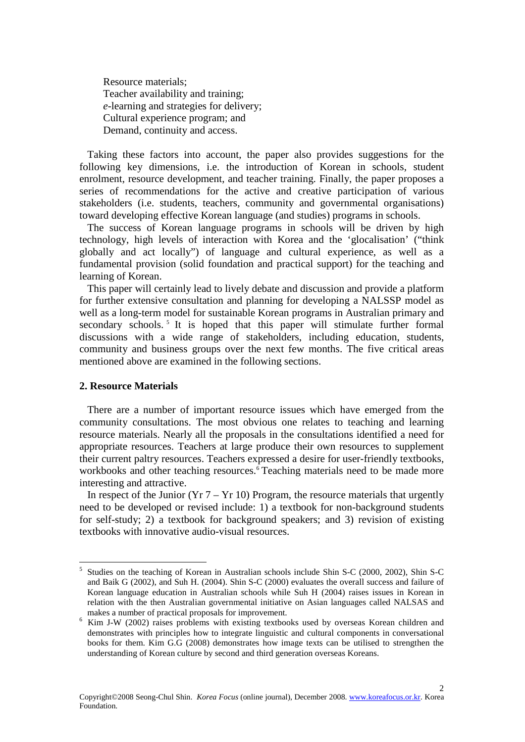Resource materials; Teacher availability and training; *e*-learning and strategies for delivery; Cultural experience program; and Demand, continuity and access.

 Taking these factors into account, the paper also provides suggestions for the following key dimensions, i.e. the introduction of Korean in schools, student enrolment, resource development, and teacher training. Finally, the paper proposes a series of recommendations for the active and creative participation of various stakeholders (i.e. students, teachers, community and governmental organisations) toward developing effective Korean language (and studies) programs in schools.

 The success of Korean language programs in schools will be driven by high technology, high levels of interaction with Korea and the 'glocalisation' ("think globally and act locally") of language and cultural experience, as well as a fundamental provision (solid foundation and practical support) for the teaching and learning of Korean.

 This paper will certainly lead to lively debate and discussion and provide a platform for further extensive consultation and planning for developing a NALSSP model as well as a long-term model for sustainable Korean programs in Australian primary and secondary schools.<sup>5</sup> It is hoped that this paper will stimulate further formal discussions with a wide range of stakeholders, including education, students, community and business groups over the next few months. The five critical areas mentioned above are examined in the following sections.

### **2. Resource Materials**

 There are a number of important resource issues which have emerged from the community consultations. The most obvious one relates to teaching and learning resource materials. Nearly all the proposals in the consultations identified a need for appropriate resources. Teachers at large produce their own resources to supplement their current paltry resources. Teachers expressed a desire for user-friendly textbooks, workbooks and other teaching resources.<sup>6</sup> Teaching materials need to be made more interesting and attractive.

In respect of the Junior ( $Yr 7 - Yr 10$ ) Program, the resource materials that urgently need to be developed or revised include: 1) a textbook for non-background students for self-study; 2) a textbook for background speakers; and 3) revision of existing textbooks with innovative audio-visual resources.

<sup>5</sup> Studies on the teaching of Korean in Australian schools include Shin S-C (2000, 2002), Shin S-C and Baik G (2002), and Suh H. (2004). Shin S-C (2000) evaluates the overall success and failure of Korean language education in Australian schools while Suh H (2004) raises issues in Korean in relation with the then Australian governmental initiative on Asian languages called NALSAS and makes a number of practical proposals for improvement.

 $6$  Kim J-W (2002) raises problems with existing textbooks used by overseas Korean children and demonstrates with principles how to integrate linguistic and cultural components in conversational books for them. Kim G.G (2008) demonstrates how image texts can be utilised to strengthen the understanding of Korean culture by second and third generation overseas Koreans.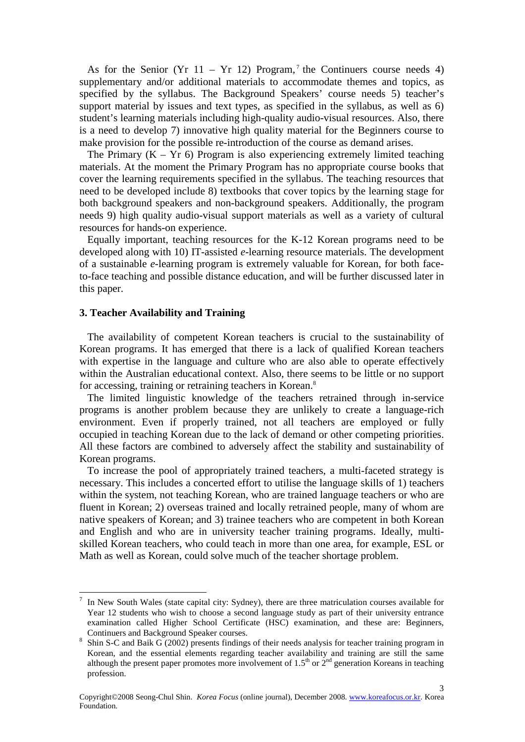As for the Senior (Yr  $11 - Yr$  12) Program,<sup>7</sup> the Continuers course needs 4) supplementary and/or additional materials to accommodate themes and topics, as specified by the syllabus. The Background Speakers' course needs 5) teacher's support material by issues and text types, as specified in the syllabus, as well as 6) student's learning materials including high-quality audio-visual resources. Also, there is a need to develop 7) innovative high quality material for the Beginners course to make provision for the possible re-introduction of the course as demand arises.

The Primary  $(K - Yr \ 6)$  Program is also experiencing extremely limited teaching materials. At the moment the Primary Program has no appropriate course books that cover the learning requirements specified in the syllabus. The teaching resources that need to be developed include 8) textbooks that cover topics by the learning stage for both background speakers and non-background speakers. Additionally, the program needs 9) high quality audio-visual support materials as well as a variety of cultural resources for hands-on experience.

 Equally important, teaching resources for the K-12 Korean programs need to be developed along with 10) IT-assisted *e*-learning resource materials. The development of a sustainable *e*-learning program is extremely valuable for Korean, for both faceto-face teaching and possible distance education, and will be further discussed later in this paper.

## **3. Teacher Availability and Training**

 The availability of competent Korean teachers is crucial to the sustainability of Korean programs. It has emerged that there is a lack of qualified Korean teachers with expertise in the language and culture who are also able to operate effectively within the Australian educational context. Also, there seems to be little or no support for accessing, training or retraining teachers in Korean.<sup>8</sup>

 The limited linguistic knowledge of the teachers retrained through in-service programs is another problem because they are unlikely to create a language-rich environment. Even if properly trained, not all teachers are employed or fully occupied in teaching Korean due to the lack of demand or other competing priorities. All these factors are combined to adversely affect the stability and sustainability of Korean programs.

 To increase the pool of appropriately trained teachers, a multi-faceted strategy is necessary. This includes a concerted effort to utilise the language skills of 1) teachers within the system, not teaching Korean, who are trained language teachers or who are fluent in Korean; 2) overseas trained and locally retrained people, many of whom are native speakers of Korean; and 3) trainee teachers who are competent in both Korean and English and who are in university teacher training programs. Ideally, multiskilled Korean teachers, who could teach in more than one area, for example, ESL or Math as well as Korean, could solve much of the teacher shortage problem.

<sup>7</sup> In New South Wales (state capital city: Sydney), there are three matriculation courses available for Year 12 students who wish to choose a second language study as part of their university entrance examination called Higher School Certificate (HSC) examination, and these are: Beginners, Continuers and Background Speaker courses.

<sup>8</sup> Shin S-C and Baik G (2002) presents findings of their needs analysis for teacher training program in Korean, and the essential elements regarding teacher availability and training are still the same although the present paper promotes more involvement of  $1.5<sup>th</sup>$  or  $2<sup>nd</sup>$  generation Koreans in teaching profession.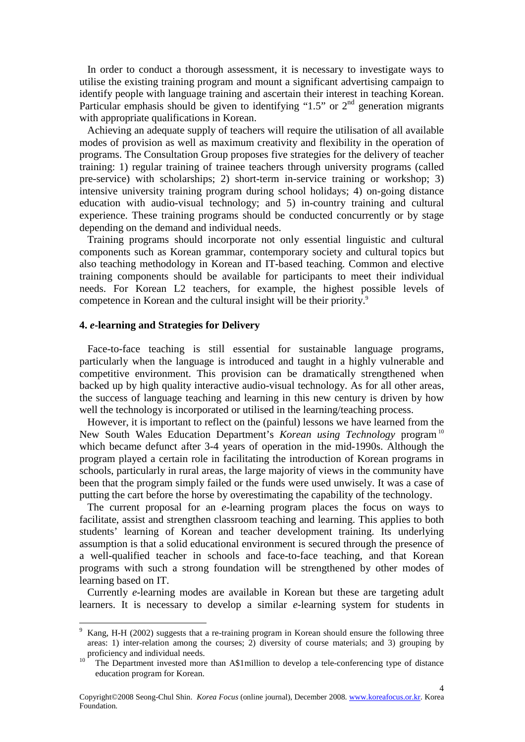In order to conduct a thorough assessment, it is necessary to investigate ways to utilise the existing training program and mount a significant advertising campaign to identify people with language training and ascertain their interest in teaching Korean. Particular emphasis should be given to identifying "1.5" or  $2<sup>nd</sup>$  generation migrants with appropriate qualifications in Korean.

 Achieving an adequate supply of teachers will require the utilisation of all available modes of provision as well as maximum creativity and flexibility in the operation of programs. The Consultation Group proposes five strategies for the delivery of teacher training: 1) regular training of trainee teachers through university programs (called pre-service) with scholarships; 2) short-term in-service training or workshop; 3) intensive university training program during school holidays; 4) on-going distance education with audio-visual technology; and 5) in-country training and cultural experience. These training programs should be conducted concurrently or by stage depending on the demand and individual needs.

 Training programs should incorporate not only essential linguistic and cultural components such as Korean grammar, contemporary society and cultural topics but also teaching methodology in Korean and IT-based teaching. Common and elective training components should be available for participants to meet their individual needs. For Korean L2 teachers, for example, the highest possible levels of competence in Korean and the cultural insight will be their priority.<sup>9</sup>

## **4.** *e***-learning and Strategies for Delivery**

 Face-to-face teaching is still essential for sustainable language programs, particularly when the language is introduced and taught in a highly vulnerable and competitive environment. This provision can be dramatically strengthened when backed up by high quality interactive audio-visual technology. As for all other areas, the success of language teaching and learning in this new century is driven by how well the technology is incorporated or utilised in the learning/teaching process.

 However, it is important to reflect on the (painful) lessons we have learned from the New South Wales Education Department's *Korean using Technology* program<sup>10</sup> which became defunct after 3-4 years of operation in the mid-1990s. Although the program played a certain role in facilitating the introduction of Korean programs in schools, particularly in rural areas, the large majority of views in the community have been that the program simply failed or the funds were used unwisely. It was a case of putting the cart before the horse by overestimating the capability of the technology.

 The current proposal for an *e*-learning program places the focus on ways to facilitate, assist and strengthen classroom teaching and learning. This applies to both students' learning of Korean and teacher development training. Its underlying assumption is that a solid educational environment is secured through the presence of a well-qualified teacher in schools and face-to-face teaching, and that Korean programs with such a strong foundation will be strengthened by other modes of learning based on IT.

 Currently *e*-learning modes are available in Korean but these are targeting adult learners. It is necessary to develop a similar *e*-learning system for students in

<sup>9</sup> Kang, H-H (2002) suggests that a re-training program in Korean should ensure the following three areas: 1) inter-relation among the courses; 2) diversity of course materials; and 3) grouping by proficiency and individual needs.

<sup>10</sup> The Department invested more than A\$1million to develop a tele-conferencing type of distance education program for Korean.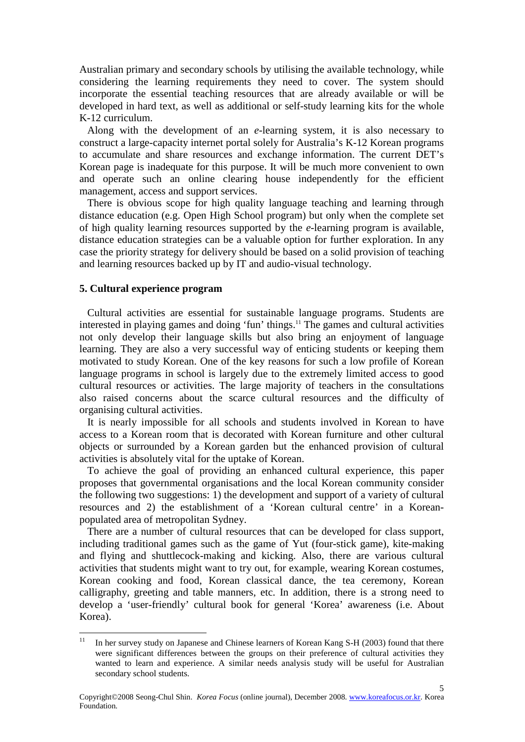Australian primary and secondary schools by utilising the available technology, while considering the learning requirements they need to cover. The system should incorporate the essential teaching resources that are already available or will be developed in hard text, as well as additional or self-study learning kits for the whole K-12 curriculum.

 Along with the development of an *e*-learning system, it is also necessary to construct a large-capacity internet portal solely for Australia's K-12 Korean programs to accumulate and share resources and exchange information. The current DET's Korean page is inadequate for this purpose. It will be much more convenient to own and operate such an online clearing house independently for the efficient management, access and support services.

 There is obvious scope for high quality language teaching and learning through distance education (e.g. Open High School program) but only when the complete set of high quality learning resources supported by the *e*-learning program is available, distance education strategies can be a valuable option for further exploration. In any case the priority strategy for delivery should be based on a solid provision of teaching and learning resources backed up by IT and audio-visual technology.

### **5. Cultural experience program**

 Cultural activities are essential for sustainable language programs. Students are interested in playing games and doing 'fun' things.<sup>11</sup> The games and cultural activities not only develop their language skills but also bring an enjoyment of language learning. They are also a very successful way of enticing students or keeping them motivated to study Korean. One of the key reasons for such a low profile of Korean language programs in school is largely due to the extremely limited access to good cultural resources or activities. The large majority of teachers in the consultations also raised concerns about the scarce cultural resources and the difficulty of organising cultural activities.

 It is nearly impossible for all schools and students involved in Korean to have access to a Korean room that is decorated with Korean furniture and other cultural objects or surrounded by a Korean garden but the enhanced provision of cultural activities is absolutely vital for the uptake of Korean.

 To achieve the goal of providing an enhanced cultural experience, this paper proposes that governmental organisations and the local Korean community consider the following two suggestions: 1) the development and support of a variety of cultural resources and 2) the establishment of a 'Korean cultural centre' in a Koreanpopulated area of metropolitan Sydney.

 There are a number of cultural resources that can be developed for class support, including traditional games such as the game of Yut (four-stick game), kite-making and flying and shuttlecock-making and kicking. Also, there are various cultural activities that students might want to try out, for example, wearing Korean costumes, Korean cooking and food, Korean classical dance, the tea ceremony, Korean calligraphy, greeting and table manners, etc. In addition, there is a strong need to develop a 'user-friendly' cultural book for general 'Korea' awareness (i.e. About Korea).

 $11$ <sup>11</sup> In her survey study on Japanese and Chinese learners of Korean Kang S-H (2003) found that there were significant differences between the groups on their preference of cultural activities they wanted to learn and experience. A similar needs analysis study will be useful for Australian secondary school students.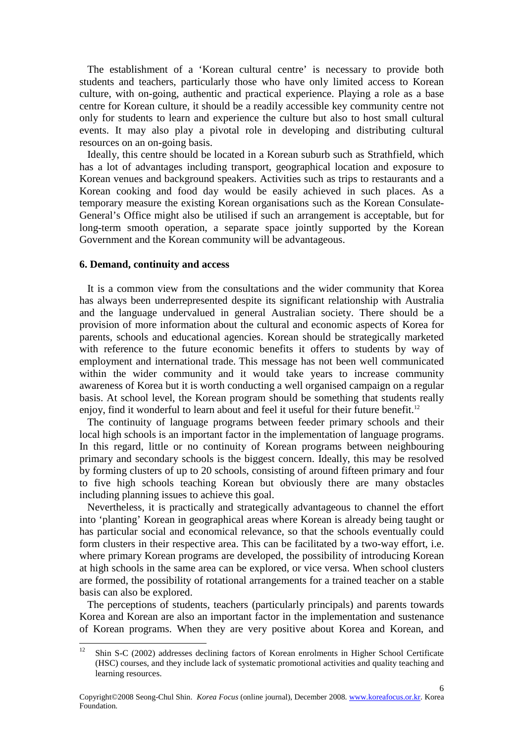The establishment of a 'Korean cultural centre' is necessary to provide both students and teachers, particularly those who have only limited access to Korean culture, with on-going, authentic and practical experience. Playing a role as a base centre for Korean culture, it should be a readily accessible key community centre not only for students to learn and experience the culture but also to host small cultural events. It may also play a pivotal role in developing and distributing cultural resources on an on-going basis.

 Ideally, this centre should be located in a Korean suburb such as Strathfield, which has a lot of advantages including transport, geographical location and exposure to Korean venues and background speakers. Activities such as trips to restaurants and a Korean cooking and food day would be easily achieved in such places. As a temporary measure the existing Korean organisations such as the Korean Consulate-General's Office might also be utilised if such an arrangement is acceptable, but for long-term smooth operation, a separate space jointly supported by the Korean Government and the Korean community will be advantageous.

#### **6. Demand, continuity and access**

 It is a common view from the consultations and the wider community that Korea has always been underrepresented despite its significant relationship with Australia and the language undervalued in general Australian society. There should be a provision of more information about the cultural and economic aspects of Korea for parents, schools and educational agencies. Korean should be strategically marketed with reference to the future economic benefits it offers to students by way of employment and international trade. This message has not been well communicated within the wider community and it would take years to increase community awareness of Korea but it is worth conducting a well organised campaign on a regular basis. At school level, the Korean program should be something that students really enjoy, find it wonderful to learn about and feel it useful for their future benefit.<sup>12</sup>

 The continuity of language programs between feeder primary schools and their local high schools is an important factor in the implementation of language programs. In this regard, little or no continuity of Korean programs between neighbouring primary and secondary schools is the biggest concern. Ideally, this may be resolved by forming clusters of up to 20 schools, consisting of around fifteen primary and four to five high schools teaching Korean but obviously there are many obstacles including planning issues to achieve this goal.

 Nevertheless, it is practically and strategically advantageous to channel the effort into 'planting' Korean in geographical areas where Korean is already being taught or has particular social and economical relevance, so that the schools eventually could form clusters in their respective area. This can be facilitated by a two-way effort, i.e. where primary Korean programs are developed, the possibility of introducing Korean at high schools in the same area can be explored, or vice versa. When school clusters are formed, the possibility of rotational arrangements for a trained teacher on a stable basis can also be explored.

 The perceptions of students, teachers (particularly principals) and parents towards Korea and Korean are also an important factor in the implementation and sustenance of Korean programs. When they are very positive about Korea and Korean, and

 <sup>12</sup> Shin S-C (2002) addresses declining factors of Korean enrolments in Higher School Certificate (HSC) courses, and they include lack of systematic promotional activities and quality teaching and learning resources.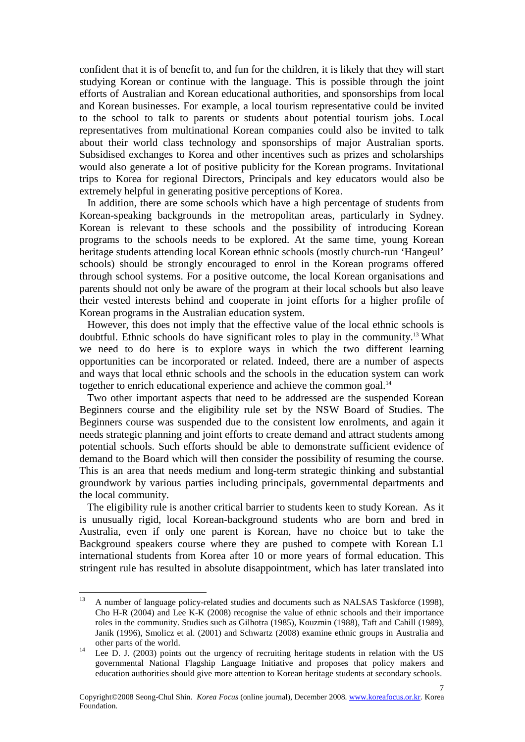confident that it is of benefit to, and fun for the children, it is likely that they will start studying Korean or continue with the language. This is possible through the joint efforts of Australian and Korean educational authorities, and sponsorships from local and Korean businesses. For example, a local tourism representative could be invited to the school to talk to parents or students about potential tourism jobs. Local representatives from multinational Korean companies could also be invited to talk about their world class technology and sponsorships of major Australian sports. Subsidised exchanges to Korea and other incentives such as prizes and scholarships would also generate a lot of positive publicity for the Korean programs. Invitational trips to Korea for regional Directors, Principals and key educators would also be extremely helpful in generating positive perceptions of Korea.

 In addition, there are some schools which have a high percentage of students from Korean-speaking backgrounds in the metropolitan areas, particularly in Sydney. Korean is relevant to these schools and the possibility of introducing Korean programs to the schools needs to be explored. At the same time, young Korean heritage students attending local Korean ethnic schools (mostly church-run 'Hangeul' schools) should be strongly encouraged to enrol in the Korean programs offered through school systems. For a positive outcome, the local Korean organisations and parents should not only be aware of the program at their local schools but also leave their vested interests behind and cooperate in joint efforts for a higher profile of Korean programs in the Australian education system.

 However, this does not imply that the effective value of the local ethnic schools is doubtful. Ethnic schools do have significant roles to play in the community.<sup>13</sup> What we need to do here is to explore ways in which the two different learning opportunities can be incorporated or related. Indeed, there are a number of aspects and ways that local ethnic schools and the schools in the education system can work together to enrich educational experience and achieve the common goal.<sup>14</sup>

 Two other important aspects that need to be addressed are the suspended Korean Beginners course and the eligibility rule set by the NSW Board of Studies. The Beginners course was suspended due to the consistent low enrolments, and again it needs strategic planning and joint efforts to create demand and attract students among potential schools. Such efforts should be able to demonstrate sufficient evidence of demand to the Board which will then consider the possibility of resuming the course. This is an area that needs medium and long-term strategic thinking and substantial groundwork by various parties including principals, governmental departments and the local community.

 The eligibility rule is another critical barrier to students keen to study Korean. As it is unusually rigid, local Korean-background students who are born and bred in Australia, even if only one parent is Korean, have no choice but to take the Background speakers course where they are pushed to compete with Korean L1 international students from Korea after 10 or more years of formal education. This stringent rule has resulted in absolute disappointment, which has later translated into

 <sup>13</sup> A number of language policy-related studies and documents such as NALSAS Taskforce (1998), Cho H-R (2004) and Lee K-K (2008) recognise the value of ethnic schools and their importance roles in the community. Studies such as Gilhotra (1985), Kouzmin (1988), Taft and Cahill (1989), Janik (1996), Smolicz et al. (2001) and Schwartz (2008) examine ethnic groups in Australia and other parts of the world.

<sup>&</sup>lt;sup>14</sup> Lee D. J. (2003) points out the urgency of recruiting heritage students in relation with the US governmental National Flagship Language Initiative and proposes that policy makers and education authorities should give more attention to Korean heritage students at secondary schools.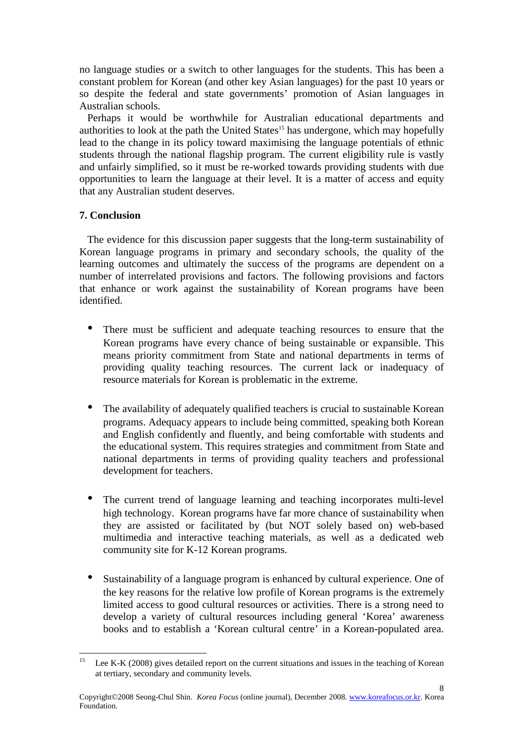no language studies or a switch to other languages for the students. This has been a constant problem for Korean (and other key Asian languages) for the past 10 years or so despite the federal and state governments' promotion of Asian languages in Australian schools.

 Perhaps it would be worthwhile for Australian educational departments and authorities to look at the path the United States<sup>15</sup> has undergone, which may hopefully lead to the change in its policy toward maximising the language potentials of ethnic students through the national flagship program. The current eligibility rule is vastly and unfairly simplified, so it must be re-worked towards providing students with due opportunities to learn the language at their level. It is a matter of access and equity that any Australian student deserves.

## **7. Conclusion**

 The evidence for this discussion paper suggests that the long-term sustainability of Korean language programs in primary and secondary schools, the quality of the learning outcomes and ultimately the success of the programs are dependent on a number of interrelated provisions and factors. The following provisions and factors that enhance or work against the sustainability of Korean programs have been identified.

- There must be sufficient and adequate teaching resources to ensure that the Korean programs have every chance of being sustainable or expansible. This means priority commitment from State and national departments in terms of providing quality teaching resources. The current lack or inadequacy of resource materials for Korean is problematic in the extreme.
- The availability of adequately qualified teachers is crucial to sustainable Korean programs. Adequacy appears to include being committed, speaking both Korean and English confidently and fluently, and being comfortable with students and the educational system. This requires strategies and commitment from State and national departments in terms of providing quality teachers and professional development for teachers.
- The current trend of language learning and teaching incorporates multi-level high technology. Korean programs have far more chance of sustainability when they are assisted or facilitated by (but NOT solely based on) web-based multimedia and interactive teaching materials, as well as a dedicated web community site for K-12 Korean programs.
- Sustainability of a language program is enhanced by cultural experience. One of the key reasons for the relative low profile of Korean programs is the extremely limited access to good cultural resources or activities. There is a strong need to develop a variety of cultural resources including general 'Korea' awareness books and to establish a 'Korean cultural centre' in a Korean-populated area.

8

 Lee K-K (2008) gives detailed report on the current situations and issues in the teaching of Korean at tertiary, secondary and community levels.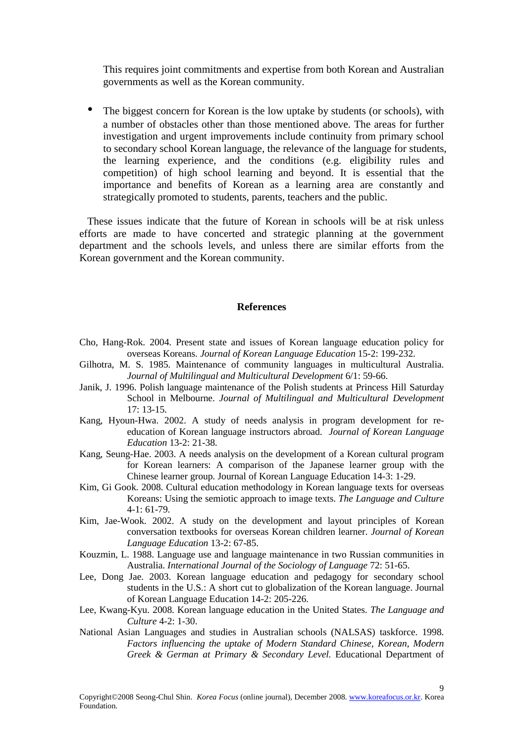This requires joint commitments and expertise from both Korean and Australian governments as well as the Korean community.

• The biggest concern for Korean is the low uptake by students (or schools), with a number of obstacles other than those mentioned above. The areas for further investigation and urgent improvements include continuity from primary school to secondary school Korean language, the relevance of the language for students, the learning experience, and the conditions (e.g. eligibility rules and competition) of high school learning and beyond. It is essential that the importance and benefits of Korean as a learning area are constantly and strategically promoted to students, parents, teachers and the public.

 These issues indicate that the future of Korean in schools will be at risk unless efforts are made to have concerted and strategic planning at the government department and the schools levels, and unless there are similar efforts from the Korean government and the Korean community.

#### **References**

- Cho, Hang-Rok. 2004. Present state and issues of Korean language education policy for overseas Koreans. *Journal of Korean Language Education* 15-2: 199-232.
- Gilhotra, M. S. 1985. Maintenance of community languages in multicultural Australia. *Journal of Multilingual and Multicultural Development* 6/1: 59-66.
- Janik, J. 1996. Polish language maintenance of the Polish students at Princess Hill Saturday School in Melbourne. *Journal of Multilingual and Multicultural Development* 17: 13-15.
- Kang, Hyoun-Hwa. 2002. A study of needs analysis in program development for reeducation of Korean language instructors abroad. *Journal of Korean Language Education* 13-2: 21-38.
- Kang, Seung-Hae. 2003. A needs analysis on the development of a Korean cultural program for Korean learners: A comparison of the Japanese learner group with the Chinese learner group. Journal of Korean Language Education 14-3: 1-29.
- Kim, Gi Gook. 2008. Cultural education methodology in Korean language texts for overseas Koreans: Using the semiotic approach to image texts. *The Language and Culture* 4-1: 61-79.
- Kim, Jae-Wook. 2002. A study on the development and layout principles of Korean conversation textbooks for overseas Korean children learner. *Journal of Korean Language Education* 13-2: 67-85.
- Kouzmin, L. 1988. Language use and language maintenance in two Russian communities in Australia. *International Journal of the Sociology of Language* 72: 51-65.
- Lee, Dong Jae. 2003. Korean language education and pedagogy for secondary school students in the U.S.: A short cut to globalization of the Korean language. Journal of Korean Language Education 14-2: 205-226.
- Lee, Kwang-Kyu. 2008. Korean language education in the United States. *The Language and Culture* 4-2: 1-30.
- National Asian Languages and studies in Australian schools (NALSAS) taskforce. 1998. *Factors influencing the uptake of Modern Standard Chinese, Korean, Modern Greek & German at Primary & Secondary Level.* Educational Department of